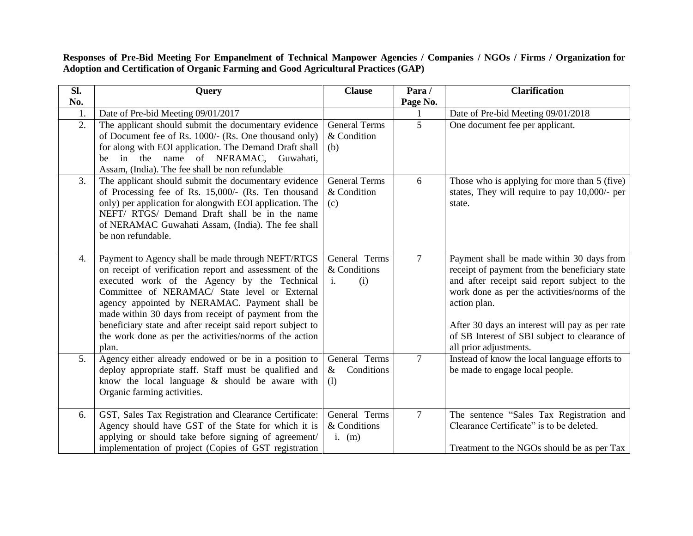**Responses of Pre-Bid Meeting For Empanelment of Technical Manpower Agencies / Companies / NGOs / Firms / Organization for Adoption and Certification of Organic Farming and Good Agricultural Practices (GAP)**

| SI.            | Query                                                                                                                                                                                                                                                                                                                                                                                                                                                    | <b>Clause</b>                                          | Para/          | <b>Clarification</b>                                                                                                                                                                                                                                                                                                                    |  |
|----------------|----------------------------------------------------------------------------------------------------------------------------------------------------------------------------------------------------------------------------------------------------------------------------------------------------------------------------------------------------------------------------------------------------------------------------------------------------------|--------------------------------------------------------|----------------|-----------------------------------------------------------------------------------------------------------------------------------------------------------------------------------------------------------------------------------------------------------------------------------------------------------------------------------------|--|
| No.            |                                                                                                                                                                                                                                                                                                                                                                                                                                                          |                                                        | Page No.       |                                                                                                                                                                                                                                                                                                                                         |  |
| 1.             | Date of Pre-bid Meeting 09/01/2017                                                                                                                                                                                                                                                                                                                                                                                                                       |                                                        |                | Date of Pre-bid Meeting 09/01/2018                                                                                                                                                                                                                                                                                                      |  |
| 2.             | The applicant should submit the documentary evidence<br>of Document fee of Rs. 1000/- (Rs. One thousand only)<br>for along with EOI application. The Demand Draft shall<br>be in the name of NERAMAC, Guwahati,<br>Assam, (India). The fee shall be non refundable                                                                                                                                                                                       | <b>General Terms</b><br>& Condition<br>(b)             | $\overline{5}$ | One document fee per applicant.                                                                                                                                                                                                                                                                                                         |  |
| 3.             | The applicant should submit the documentary evidence<br>of Processing fee of Rs. 15,000/- (Rs. Ten thousand<br>only) per application for alongwith EOI application. The<br>NEFT/ RTGS/ Demand Draft shall be in the name<br>of NERAMAC Guwahati Assam, (India). The fee shall<br>be non refundable.                                                                                                                                                      | <b>General Terms</b><br>& Condition<br>(c)             | 6              | Those who is applying for more than 5 (five)<br>states, They will require to pay 10,000/- per<br>state.                                                                                                                                                                                                                                 |  |
| 4.             | Payment to Agency shall be made through NEFT/RTGS<br>on receipt of verification report and assessment of the<br>executed work of the Agency by the Technical<br>Committee of NERAMAC/ State level or External<br>agency appointed by NERAMAC. Payment shall be<br>made within 30 days from receipt of payment from the<br>beneficiary state and after receipt said report subject to<br>the work done as per the activities/norms of the action<br>plan. | General Terms<br>& Conditions<br>(i)<br>$\mathbf{i}$ . | $\overline{7}$ | Payment shall be made within 30 days from<br>receipt of payment from the beneficiary state<br>and after receipt said report subject to the<br>work done as per the activities/norms of the<br>action plan.<br>After 30 days an interest will pay as per rate<br>of SB Interest of SBI subject to clearance of<br>all prior adjustments. |  |
| 5 <sub>1</sub> | Agency either already endowed or be in a position to<br>deploy appropriate staff. Staff must be qualified and<br>know the local language & should be aware with<br>Organic farming activities.                                                                                                                                                                                                                                                           | General Terms<br>$\&$<br>Conditions<br>(1)             | $\overline{7}$ | Instead of know the local language efforts to<br>be made to engage local people.                                                                                                                                                                                                                                                        |  |
| 6.             | GST, Sales Tax Registration and Clearance Certificate:<br>Agency should have GST of the State for which it is<br>applying or should take before signing of agreement/<br>implementation of project (Copies of GST registration                                                                                                                                                                                                                           | General Terms<br>& Conditions<br>$i.$ (m)              | $\overline{7}$ | The sentence "Sales Tax Registration and<br>Clearance Certificate" is to be deleted.<br>Treatment to the NGOs should be as per Tax                                                                                                                                                                                                      |  |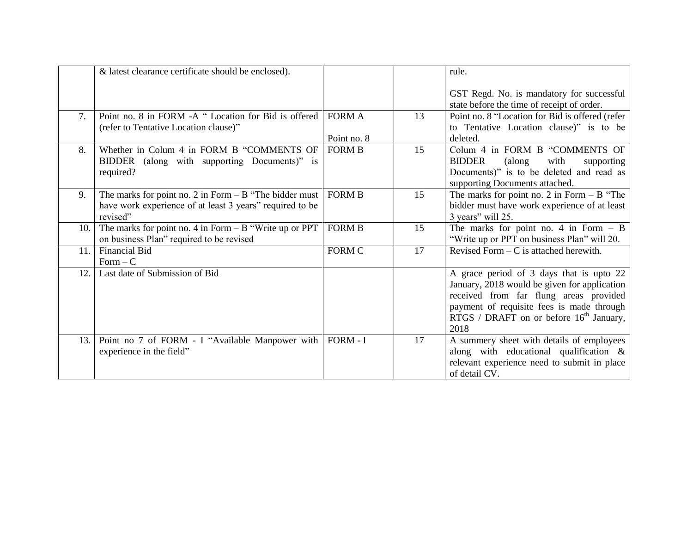|      | & latest clearance certificate should be enclosed).                                                                              |                              |    | rule.                                                                                                                                                                                                                                |  |
|------|----------------------------------------------------------------------------------------------------------------------------------|------------------------------|----|--------------------------------------------------------------------------------------------------------------------------------------------------------------------------------------------------------------------------------------|--|
|      |                                                                                                                                  |                              |    | GST Regd. No. is mandatory for successful<br>state before the time of receipt of order.                                                                                                                                              |  |
| 7.   | Point no. 8 in FORM -A "Location for Bid is offered<br>(refer to Tentative Location clause)"                                     | <b>FORM A</b><br>Point no. 8 | 13 | Point no. 8 "Location for Bid is offered (refer<br>to Tentative Location clause)" is to be<br>deleted.                                                                                                                               |  |
| 8.   | Whether in Colum 4 in FORM B "COMMENTS OF<br>BIDDER (along with supporting Documents)" is<br>required?                           | <b>FORM B</b>                | 15 | Colum 4 in FORM B "COMMENTS OF<br><b>BIDDER</b><br>with<br>(along<br>supporting<br>Documents)" is to be deleted and read as<br>supporting Documents attached.                                                                        |  |
| 9.   | The marks for point no. 2 in Form $- B$ "The bidder must<br>have work experience of at least 3 years" required to be<br>revised" | <b>FORM B</b>                | 15 | The marks for point no. 2 in Form $- B$ "The<br>bidder must have work experience of at least<br>3 years" will 25.                                                                                                                    |  |
| 10.  | The marks for point no. 4 in Form $- B$ "Write up or PPT<br>on business Plan" required to be revised                             | <b>FORM B</b>                | 15 | The marks for point no. 4 in Form $-$ B<br>"Write up or PPT on business Plan" will 20.                                                                                                                                               |  |
| 11.  | <b>Financial Bid</b><br>$Form - C$                                                                                               | FORM C                       | 17 | Revised Form $-$ C is attached herewith.                                                                                                                                                                                             |  |
| 12.  | Last date of Submission of Bid                                                                                                   |                              |    | A grace period of 3 days that is upto 22<br>January, 2018 would be given for application<br>received from far flung areas provided<br>payment of requisite fees is made through<br>RTGS / DRAFT on or before $16th$ January,<br>2018 |  |
| 13.1 | Point no 7 of FORM - I "Available Manpower with<br>experience in the field"                                                      | $FORM - I$                   | 17 | A summery sheet with details of employees<br>along with educational qualification $\&$<br>relevant experience need to submit in place<br>of detail CV.                                                                               |  |